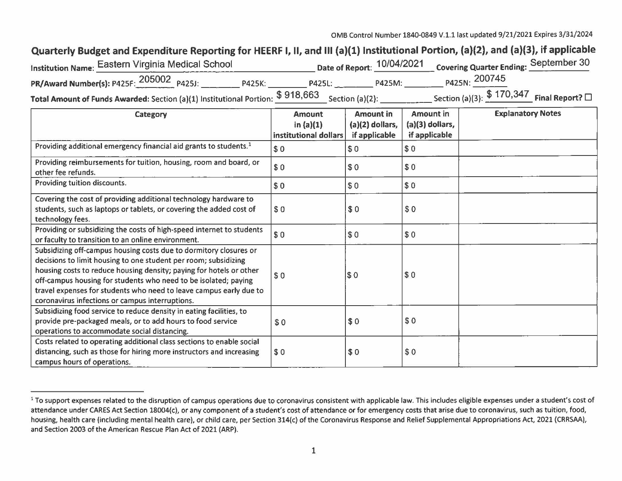## Quarterly Budget and Expenditure Reporting for HEERF I, II, and Ill (a)(1) Institutional Portion, (a)(2), and (a}(3), if applicable

| 'nstitution Name: Eastern Virginia Medical School                                                               |               | Date of Report: 10/04/2021 |        | Covering Quarter Ending: September 30              |  |
|-----------------------------------------------------------------------------------------------------------------|---------------|----------------------------|--------|----------------------------------------------------|--|
| PR/Award Number(s): P425F: 205002 p425J:                                                                        | <b>P425K:</b> | <b>P425L:</b>              | P425M: | P425N: 200745                                      |  |
| <b>Total Amount of Funds Awarded:</b> Section (a)(1) Institutional Portion: $\frac{$918,663}{}$ Section (a)(2): |               |                            |        | Section (a)(3): $$170,347$ Final Report? $\square$ |  |

| Category                                                                                                                                                                                                                                                                                                                                                                                                | <b>Amount</b><br>in $(a)(1)$<br>institutional dollars | <b>Amount in</b><br>$(a)(2)$ dollars,<br>if applicable | Amount in<br>$(a)(3)$ dollars,<br>if applicable | <b>Explanatory Notes</b> |
|---------------------------------------------------------------------------------------------------------------------------------------------------------------------------------------------------------------------------------------------------------------------------------------------------------------------------------------------------------------------------------------------------------|-------------------------------------------------------|--------------------------------------------------------|-------------------------------------------------|--------------------------|
| Providing additional emergency financial aid grants to students. <sup>1</sup>                                                                                                                                                                                                                                                                                                                           | \$0                                                   | \$0                                                    | \$0                                             |                          |
| Providing reimbursements for tuition, housing, room and board, or<br>other fee refunds.                                                                                                                                                                                                                                                                                                                 | \$0                                                   | \$0                                                    | \$0                                             |                          |
| Providing tuition discounts.                                                                                                                                                                                                                                                                                                                                                                            | \$0                                                   | \$0                                                    | \$0                                             |                          |
| Covering the cost of providing additional technology hardware to<br>students, such as laptops or tablets, or covering the added cost of<br>technology fees.                                                                                                                                                                                                                                             | \$0                                                   | \$0                                                    | \$0                                             |                          |
| Providing or subsidizing the costs of high-speed internet to students<br>or faculty to transition to an online environment.                                                                                                                                                                                                                                                                             | \$0                                                   | \$0                                                    | \$0                                             |                          |
| Subsidizing off-campus housing costs due to dormitory closures or<br>decisions to limit housing to one student per room; subsidizing<br>housing costs to reduce housing density; paying for hotels or other<br>off-campus housing for students who need to be isolated; paying<br>travel expenses for students who need to leave campus early due to<br>coronavirus infections or campus interruptions. | \$0                                                   | \$0                                                    | \$0                                             |                          |
| Subsidizing food service to reduce density in eating facilities, to<br>provide pre-packaged meals, or to add hours to food service<br>operations to accommodate social distancing.                                                                                                                                                                                                                      | \$0                                                   | \$0                                                    | \$0                                             |                          |
| Costs related to operating additional class sections to enable social<br>distancing, such as those for hiring more instructors and increasing<br>campus hours of operations.                                                                                                                                                                                                                            | \$0                                                   | \$0                                                    | \$0                                             |                          |

<sup>&</sup>lt;sup>1</sup> To support expenses related to the disruption of campus operations due to coronavirus consistent with applicable law. This includes eligible expenses under a student's cost of attendance under CARES Act Section 18004(c), or any component of a student's cost of attendance or for emergency costs that arise due to coronavirus, such as tuition, food, housing, health care (including mental health care), or child care, per Section 314(c) of the Coronavirus Response and Relief Supplemental Appropriations Act, 2021 (CRRSAA), and Section 2003 of the American Rescue Plan Act of 2021 (ARP).